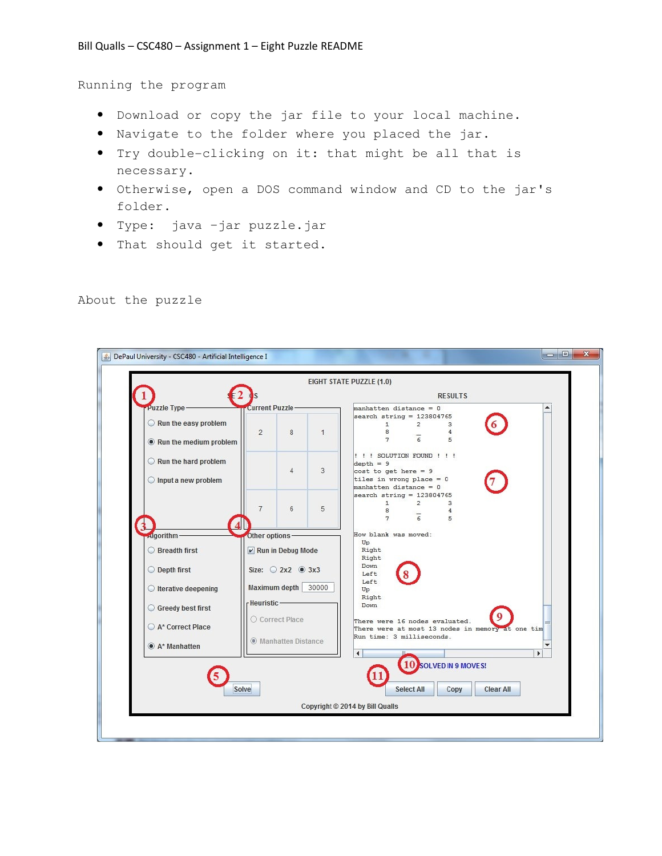Running the program

- Download or copy the jar file to your local machine.
- Navigate to the folder where you placed the jar.
- Try double-clicking on it: that might be all that is necessary.
- Otherwise, open a DOS command window and CD to the jar's folder.
- Type: java –jar puzzle.jar
- That should get it started.

## DePaul University - CSC480 - Artificial Intelligence I EIGHT STATE PUZZLE (1.0) 1 **RESULTS** Puzzle Type **Current Puzzle** manhatten distance = 0 search string =  $123804765$ Run the easy problem  $\mathbf{1}$  $\overline{2}$  $\overline{3}$  $\overline{2}$ 8  $\overline{1}$ 8  $\overline{4}$  $\overline{6}$  $\overline{7}$ 5 Run the medium problem !!! SOLUTION FOUND ! ! ! Run the hard problem  $depth = 9$  $\overline{4}$  $\sqrt{3}$  $cost to get here = 9$ Input a new problem tiles in wrong place =  $0$ manhatten distance = 0 earch string =  $123804765$  $\overline{2}$  $\overline{3}$  $\overline{7}$  $_{\rm 6}$  $\overline{5}$  $\mathbf{a}$  $\overline{A}$  $\overline{6}$  $\overline{7}$ 5  $\overline{\mathbf{4}}$ How blank was moved: doorithm-Other options-Up ◯ Breadth first Run in Debug Mode Right Right Down O Depth first Size:  $\bigcirc$  2x2  $\circledcirc$  3x3 Left Left Maximum depth 30000 ◯ Iterative deepening Up Right Heuristic-Down Greedy best first O Correct Place There were 16 nodes evaluated. A\* Correct Place There were at most 13 nodes in mem one tim Run time: 3 milliseconds. (C) Manhatten Distance A\* Manhatten 10 **SOLVED IN 9 MOVES!** Φ Solve **Select All** Copy **Clear All** Copyright © 2014 by Bill Qualls

## About the puzzle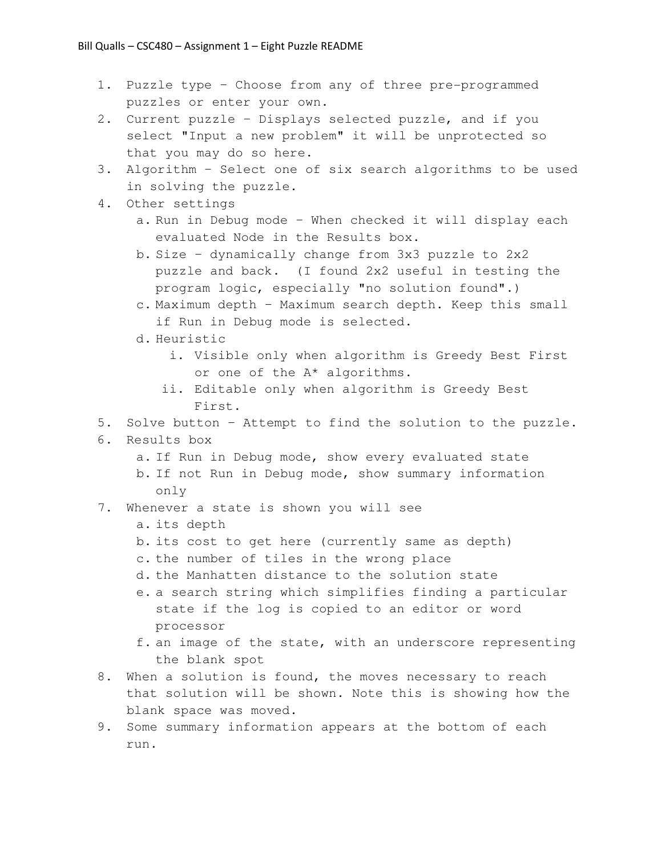- 1. Puzzle type Choose from any of three pre-programmed puzzles or enter your own.
- 2. Current puzzle Displays selected puzzle, and if you select "Input a new problem" it will be unprotected so that you may do so here.
- 3. Algorithm Select one of six search algorithms to be used in solving the puzzle.
- 4. Other settings
	- a. Run in Debug mode When checked it will display each evaluated Node in the Results box.
	- b. Size dynamically change from 3x3 puzzle to 2x2 puzzle and back. (I found 2x2 useful in testing the program logic, especially "no solution found".)
	- c. Maximum depth Maximum search depth. Keep this small if Run in Debug mode is selected.
	- d. Heuristic
		- i. Visible only when algorithm is Greedy Best First or one of the A\* algorithms.
		- ii. Editable only when algorithm is Greedy Best First.
- 5. Solve button Attempt to find the solution to the puzzle.
- 6. Results box
	- a. If Run in Debug mode, show every evaluated state
	- b. If not Run in Debug mode, show summary information only
- 7. Whenever a state is shown you will see
	- a. its depth
	- b. its cost to get here (currently same as depth)
	- c. the number of tiles in the wrong place
	- d. the Manhatten distance to the solution state
	- e. a search string which simplifies finding a particular state if the log is copied to an editor or word processor
	- f. an image of the state, with an underscore representing the blank spot
- 8. When a solution is found, the moves necessary to reach that solution will be shown. Note this is showing how the blank space was moved.
- 9. Some summary information appears at the bottom of each run.